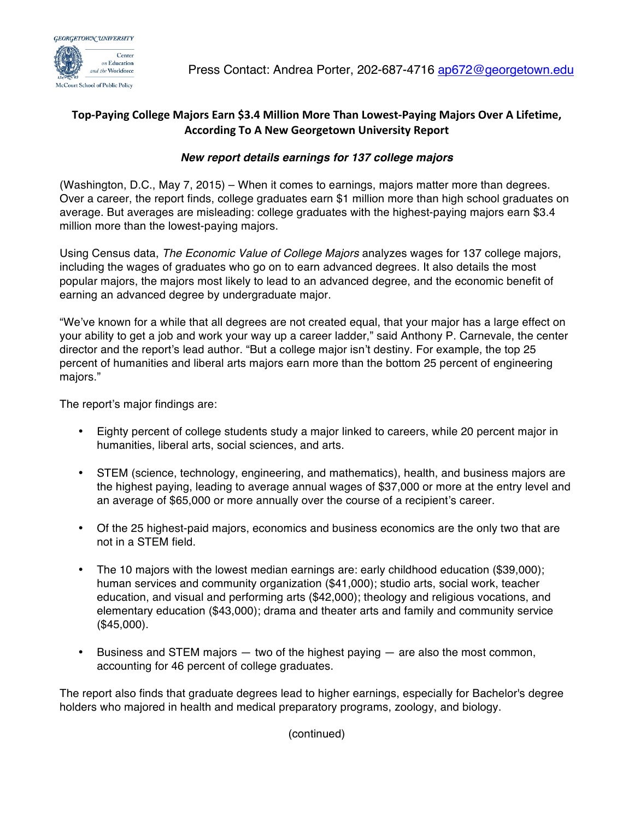

## Top-Paying College Majors Earn \$3.4 Million More Than Lowest-Paying Majors Over A Lifetime, **According To A New Georgetown University Report**

## *New report details earnings for 137 college majors*

(Washington, D.C., May 7, 2015) – When it comes to earnings, majors matter more than degrees. Over a career, the report finds, college graduates earn \$1 million more than high school graduates on average. But averages are misleading: college graduates with the highest-paying majors earn \$3.4 million more than the lowest-paying majors.

Using Census data, *The Economic Value of College Majors* analyzes wages for 137 college majors, including the wages of graduates who go on to earn advanced degrees. It also details the most popular majors, the majors most likely to lead to an advanced degree, and the economic benefit of earning an advanced degree by undergraduate major.

"We've known for a while that all degrees are not created equal, that your major has a large effect on your ability to get a job and work your way up a career ladder," said Anthony P. Carnevale, the center director and the report's lead author. "But a college major isn't destiny. For example, the top 25 percent of humanities and liberal arts majors earn more than the bottom 25 percent of engineering majors."

The report's major findings are:

- Eighty percent of college students study a major linked to careers, while 20 percent major in humanities, liberal arts, social sciences, and arts.
- STEM (science, technology, engineering, and mathematics), health, and business majors are the highest paying, leading to average annual wages of \$37,000 or more at the entry level and an average of \$65,000 or more annually over the course of a recipient's career.
- Of the 25 highest-paid majors, economics and business economics are the only two that are not in a STEM field.
- The 10 majors with the lowest median earnings are: early childhood education (\$39,000); human services and community organization (\$41,000); studio arts, social work, teacher education, and visual and performing arts (\$42,000); theology and religious vocations, and elementary education (\$43,000); drama and theater arts and family and community service (\$45,000).
- Business and STEM majors two of the highest paying are also the most common, accounting for 46 percent of college graduates.

The report also finds that graduate degrees lead to higher earnings, especially for Bachelor's degree holders who majored in health and medical preparatory programs, zoology, and biology.

(continued)